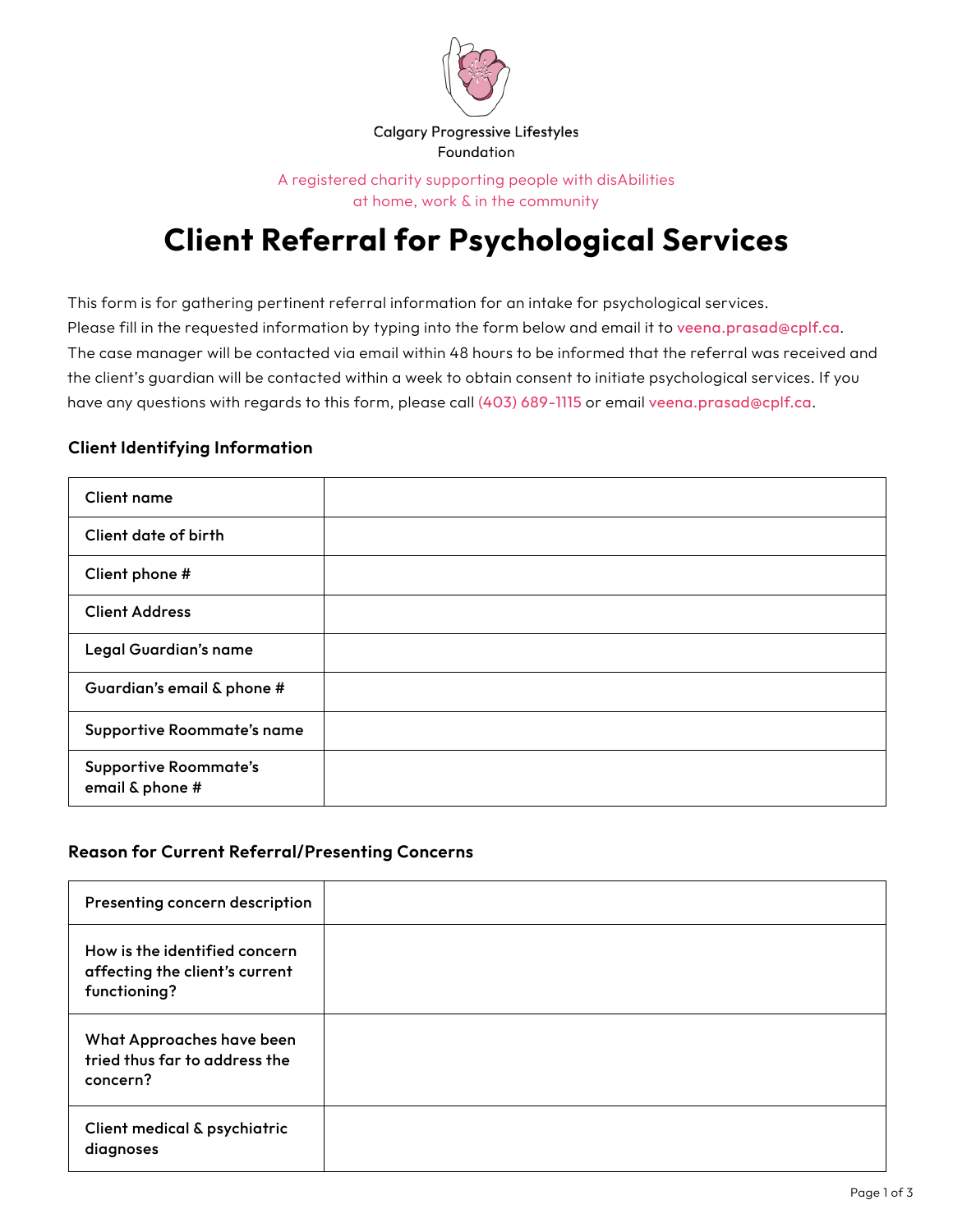

A registered charity supporting people with disAbilities at home, work & in the community

# **Client Referral for Psychological Services**

This form is for gathering pertinent referral information for an intake for psychological services. Please fill in the requested information by typing into the form below and email it to veena.prasad@cplf.ca. The case manager will be contacted via email within 48 hours to be informed that the referral was received and the client's guardian will be contacted within a week to obtain consent to initiate psychological services. If you have any questions with regards to this form, please call (403) 689-1115 or email veena.prasad@cplf.ca.

#### **Client Identifying Information**

| Client name                                     |  |
|-------------------------------------------------|--|
| Client date of birth                            |  |
| Client phone #                                  |  |
| <b>Client Address</b>                           |  |
| Legal Guardian's name                           |  |
| Guardian's email & phone #                      |  |
| Supportive Roommate's name                      |  |
| <b>Supportive Roommate's</b><br>email & phone # |  |

#### **Reason for Current Referral/Presenting Concerns**

| Presenting concern description                                                  |  |
|---------------------------------------------------------------------------------|--|
| How is the identified concern<br>affecting the client's current<br>functioning? |  |
| What Approaches have been<br>tried thus far to address the<br>concern?          |  |
| Client medical & psychiatric<br>diagnoses                                       |  |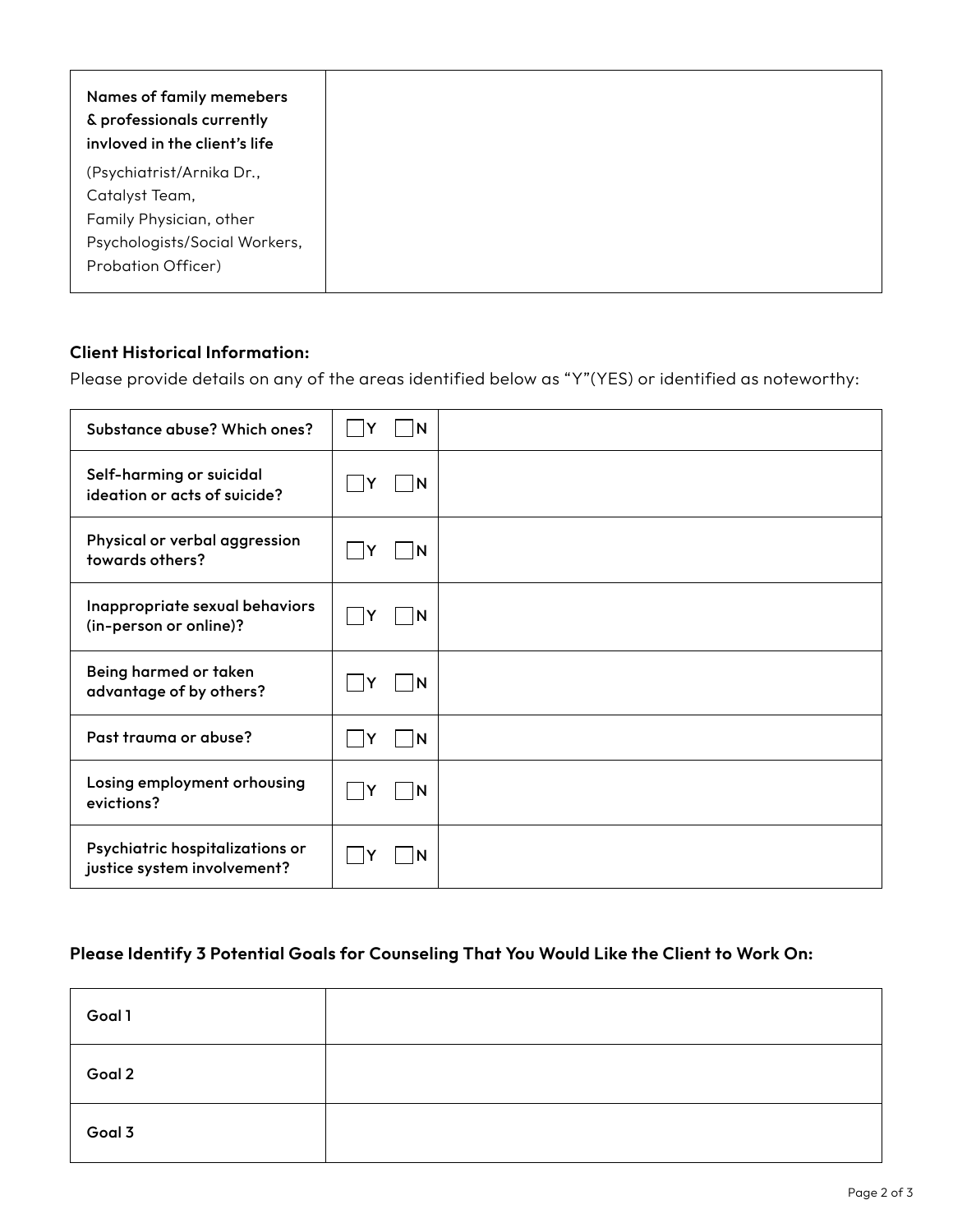| Names of family memebers<br>& professionals currently<br>invloved in the client's life |
|----------------------------------------------------------------------------------------|
| (Psychiatrist/Arnika Dr.,                                                              |
| Catalyst Team,                                                                         |
| Family Physician, other                                                                |
| Psychologists/Social Workers,                                                          |
| Probation Officer)                                                                     |
|                                                                                        |

### **Client Historical Information:**

Please provide details on any of the areas identified below as "Y"(YES) or identified as noteworthy:

| Substance abuse? Which ones?                                   | N       |  |
|----------------------------------------------------------------|---------|--|
| Self-harming or suicidal<br>ideation or acts of suicide?       | ΙN<br>Y |  |
| Physical or verbal aggression<br>towards others?               | N       |  |
| Inappropriate sexual behaviors<br>(in-person or online)?       | N<br>Y  |  |
| Being harmed or taken<br>advantage of by others?               | ΙN<br>Y |  |
| Past trauma or abuse?                                          | N       |  |
| Losing employment orhousing<br>evictions?                      | N       |  |
| Psychiatric hospitalizations or<br>justice system involvement? | N       |  |

## **Please Identify 3 Potential Goals for Counseling That You Would Like the Client to Work On:**

| Goal 1 |  |
|--------|--|
| Goal 2 |  |
| Goal 3 |  |